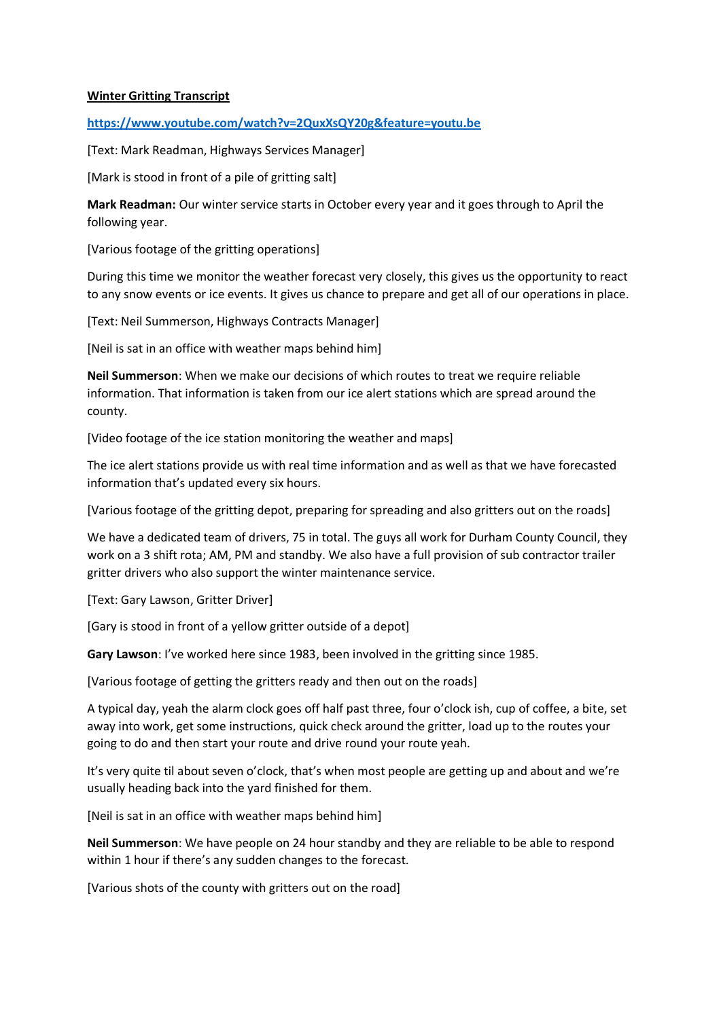## **Winter Gritting Transcript**

**<https://www.youtube.com/watch?v=2QuxXsQY20g&feature=youtu.be>**

[Text: Mark Readman, Highways Services Manager]

[Mark is stood in front of a pile of gritting salt]

**Mark Readman:** Our winter service starts in October every year and it goes through to April the following year.

[Various footage of the gritting operations]

During this time we monitor the weather forecast very closely, this gives us the opportunity to react to any snow events or ice events. It gives us chance to prepare and get all of our operations in place.

[Text: Neil Summerson, Highways Contracts Manager]

[Neil is sat in an office with weather maps behind him]

**Neil Summerson**: When we make our decisions of which routes to treat we require reliable information. That information is taken from our ice alert stations which are spread around the county.

[Video footage of the ice station monitoring the weather and maps]

The ice alert stations provide us with real time information and as well as that we have forecasted information that's updated every six hours.

[Various footage of the gritting depot, preparing for spreading and also gritters out on the roads]

We have a dedicated team of drivers, 75 in total. The guys all work for Durham County Council, they work on a 3 shift rota; AM, PM and standby. We also have a full provision of sub contractor trailer gritter drivers who also support the winter maintenance service.

[Text: Gary Lawson, Gritter Driver]

[Gary is stood in front of a yellow gritter outside of a depot]

**Gary Lawson**: I've worked here since 1983, been involved in the gritting since 1985.

[Various footage of getting the gritters ready and then out on the roads]

A typical day, yeah the alarm clock goes off half past three, four o'clock ish, cup of coffee, a bite, set away into work, get some instructions, quick check around the gritter, load up to the routes your going to do and then start your route and drive round your route yeah.

It's very quite til about seven o'clock, that's when most people are getting up and about and we're usually heading back into the yard finished for them.

[Neil is sat in an office with weather maps behind him]

**Neil Summerson**: We have people on 24 hour standby and they are reliable to be able to respond within 1 hour if there's any sudden changes to the forecast.

[Various shots of the county with gritters out on the road]